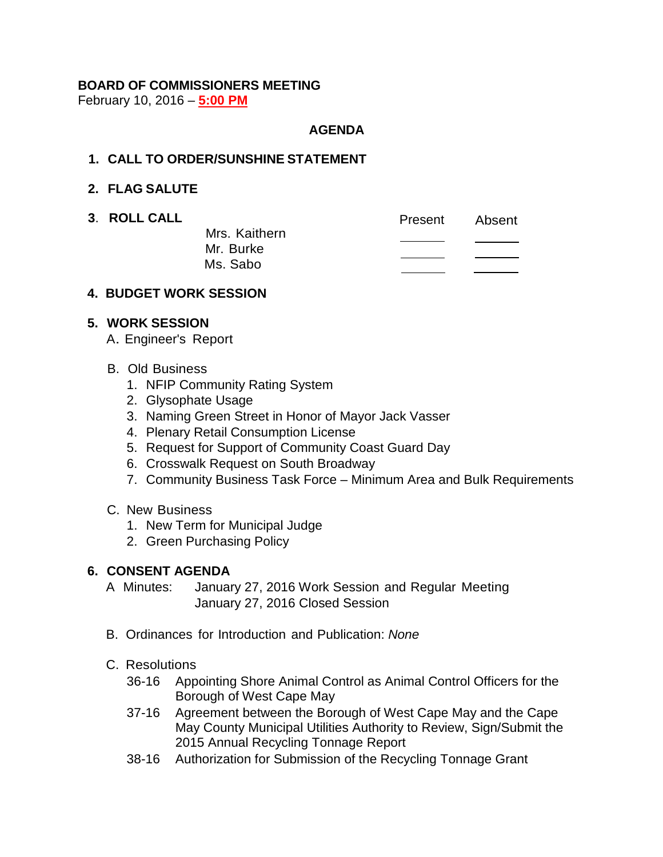# **BOARD OF COMMISSIONERS MEETING**

February 10, 2016 – **5:00 PM**

## **AGENDA**

## **1. CALL TO ORDER/SUNSHINE STATEMENT**

## **2. FLAG SALUTE**

**3. ROLL CALL CALL Present** Absent Mrs. Kaithern  $\overline{\phantom{a}}$ Mr. Burke Ms. Sabo

#### **4. BUDGET WORK SESSION**

## **5. WORK SESSION**

- A. Engineer's Report
- B. Old Business
	- 1. NFIP Community Rating System
	- 2. Glysophate Usage
	- 3. Naming Green Street in Honor of Mayor Jack Vasser
	- 4. Plenary Retail Consumption License
	- 5. Request for Support of Community Coast Guard Day
	- 6. Crosswalk Request on South Broadway
	- 7. Community Business Task Force Minimum Area and Bulk Requirements
- C. New Business
	- 1. New Term for Municipal Judge
	- 2. Green Purchasing Policy

## **6. CONSENT AGENDA**

- A Minutes: January 27, 2016 Work Session and Regular Meeting January 27, 2016 Closed Session
- B. Ordinances for Introduction and Publication: *None*
- C. Resolutions
	- 36-16 Appointing Shore Animal Control as Animal Control Officers for the Borough of West Cape May
	- 37-16 Agreement between the Borough of West Cape May and the Cape May County Municipal Utilities Authority to Review, Sign/Submit the 2015 Annual Recycling Tonnage Report
	- 38-16 Authorization for Submission of the Recycling Tonnage Grant